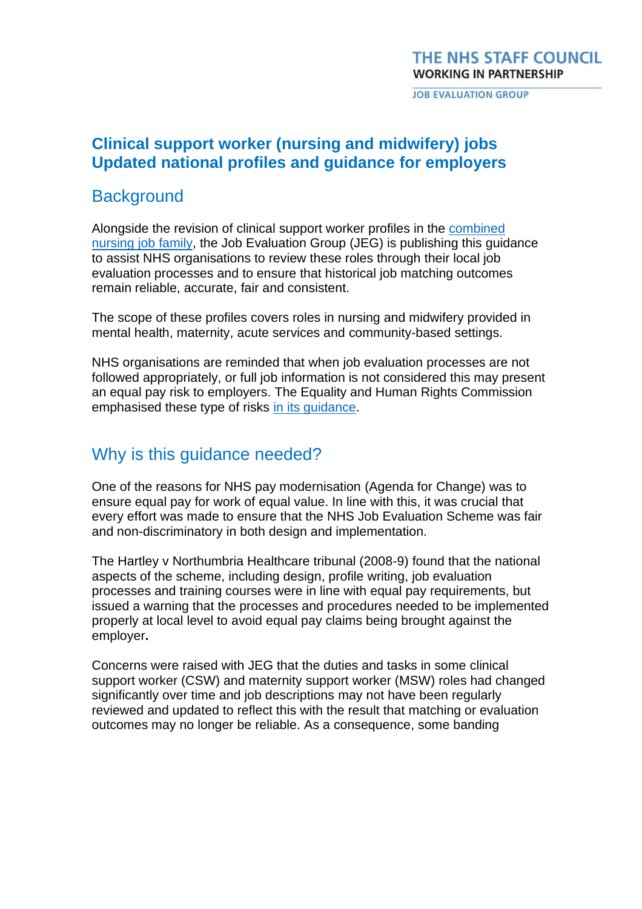#### THE NHS STAFF COUNCIL **WORKING IN PARTNERSHIP**

**JOB EVALUATION GROUP** 

### **Clinical support worker (nursing and midwifery) jobs Updated national profiles and guidance for employers**

### **Background**

Alongside the revision of clinical support worker profiles in the combined [nursing job family,](https://www.nhsemployers.org/sites/default/files/2021-07/Combined-nursing-profiles-July-21.pdf) the Job Evaluation Group (JEG) is publishing this guidance to assist NHS organisations to review these roles through their local job evaluation processes and to ensure that historical job matching outcomes remain reliable, accurate, fair and consistent.

The scope of these profiles covers roles in nursing and midwifery provided in mental health, maternity, acute services and community-based settings.

NHS organisations are reminded that when job evaluation processes are not followed appropriately, or full job information is not considered this may present an equal pay risk to employers. The Equality and Human Rights Commission emphasised these type of risks in its [guidance.](https://www.equalityhumanrights.com/en/advice-and-guidance/check-risky-practices)

### Why is this guidance needed?

One of the reasons for NHS pay modernisation (Agenda for Change) was to ensure equal pay for work of equal value. In line with this, it was crucial that every effort was made to ensure that the NHS Job Evaluation Scheme was fair and non-discriminatory in both design and implementation.

The Hartley v Northumbria Healthcare tribunal (2008-9) found that the national aspects of the scheme, including design, profile writing, job evaluation processes and training courses were in line with equal pay requirements, but issued a warning that the processes and procedures needed to be implemented properly at local level to avoid equal pay claims being brought against the employer**.** 

Concerns were raised with JEG that the duties and tasks in some clinical support worker (CSW) and maternity support worker (MSW) roles had changed significantly over time and job descriptions may not have been regularly reviewed and updated to reflect this with the result that matching or evaluation outcomes may no longer be reliable. As a consequence, some banding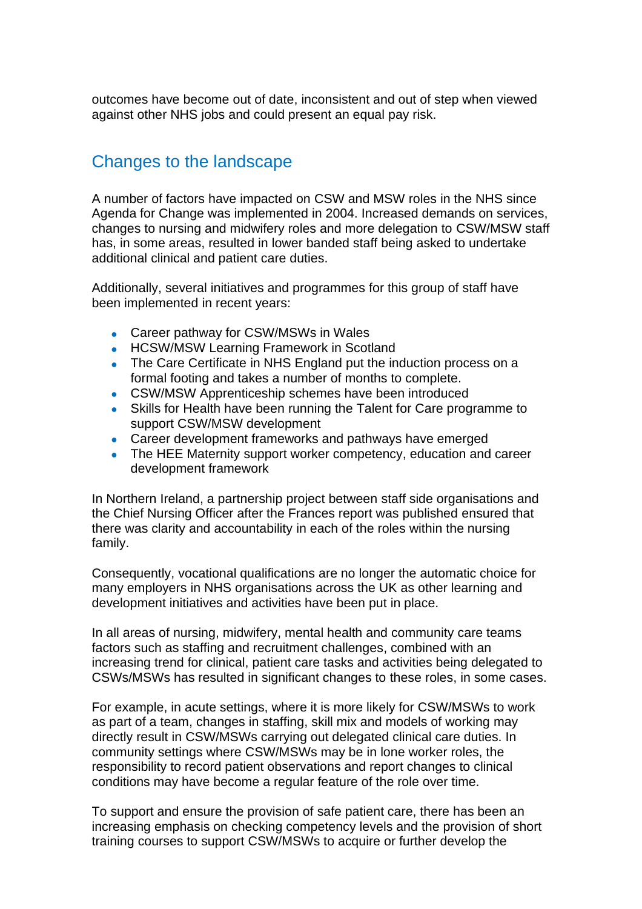outcomes have become out of date, inconsistent and out of step when viewed against other NHS jobs and could present an equal pay risk.

# Changes to the landscape

A number of factors have impacted on CSW and MSW roles in the NHS since Agenda for Change was implemented in 2004. Increased demands on services, changes to nursing and midwifery roles and more delegation to CSW/MSW staff has, in some areas, resulted in lower banded staff being asked to undertake additional clinical and patient care duties.

Additionally, several initiatives and programmes for this group of staff have been implemented in recent years:

- Career pathway for CSW/MSWs in Wales
- HCSW/MSW Learning Framework in Scotland
- The Care Certificate in NHS England put the induction process on a formal footing and takes a number of months to complete.
- CSW/MSW Apprenticeship schemes have been introduced
- Skills for Health have been running the Talent for Care programme to support CSW/MSW development
- Career development frameworks and pathways have emerged
- The HEE Maternity support worker competency, education and career development framework

In Northern Ireland, a partnership project between staff side organisations and the Chief Nursing Officer after the Frances report was published ensured that there was clarity and accountability in each of the roles within the nursing family.

Consequently, vocational qualifications are no longer the automatic choice for many employers in NHS organisations across the UK as other learning and development initiatives and activities have been put in place.

In all areas of nursing, midwifery, mental health and community care teams factors such as staffing and recruitment challenges, combined with an increasing trend for clinical, patient care tasks and activities being delegated to CSWs/MSWs has resulted in significant changes to these roles, in some cases.

For example, in acute settings, where it is more likely for CSW/MSWs to work as part of a team, changes in staffing, skill mix and models of working may directly result in CSW/MSWs carrying out delegated clinical care duties. In community settings where CSW/MSWs may be in lone worker roles, the responsibility to record patient observations and report changes to clinical conditions may have become a regular feature of the role over time.

To support and ensure the provision of safe patient care, there has been an increasing emphasis on checking competency levels and the provision of short training courses to support CSW/MSWs to acquire or further develop the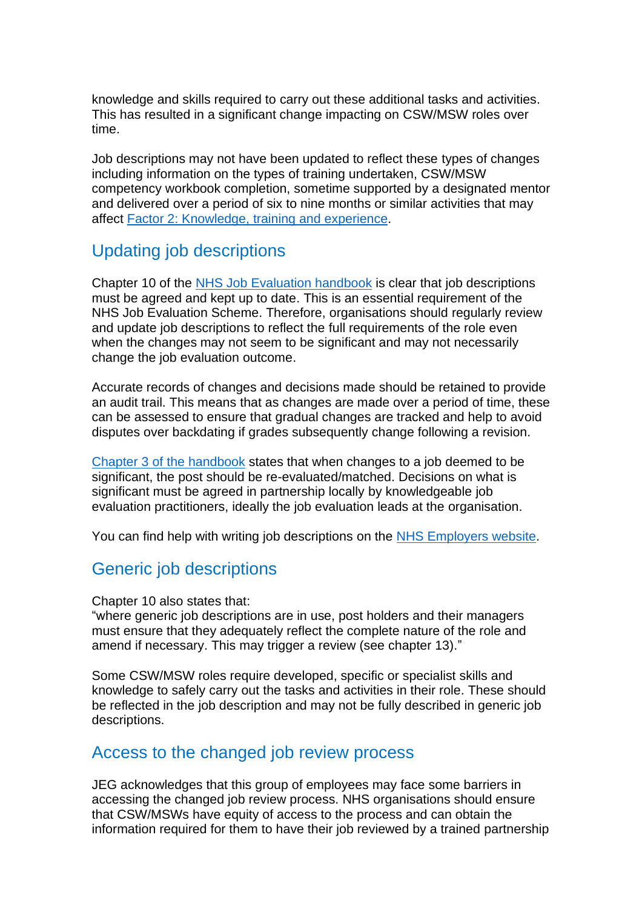knowledge and skills required to carry out these additional tasks and activities. This has resulted in a significant change impacting on CSW/MSW roles over time.

Job descriptions may not have been updated to reflect these types of changes including information on the types of training undertaken, CSW/MSW competency workbook completion, sometime supported by a designated mentor and delivered over a period of six to nine months or similar activities that may affect [Factor 2: Knowledge, training and experience.](https://www.nhsemployers.org/publications/nhs-job-evaluation-handbook#chapter-5)

## Updating job descriptions

Chapter 10 of the [NHS Job Evaluation handbook](https://www.nhsemployers.org/publications/nhs-job-evaluation-handbook#chapter-10) is clear that job descriptions must be agreed and kept up to date. This is an essential requirement of the NHS Job Evaluation Scheme. Therefore, organisations should regularly review and update job descriptions to reflect the full requirements of the role even when the changes may not seem to be significant and may not necessarily change the job evaluation outcome.

Accurate records of changes and decisions made should be retained to provide an audit trail. This means that as changes are made over a period of time, these can be assessed to ensure that gradual changes are tracked and help to avoid disputes over backdating if grades subsequently change following a revision.

Chapter 3 [of the handbook](https://www.nhsemployers.org/publications/nhs-job-evaluation-handbook#chapter-3) states that when changes to a job deemed to be significant, the post should be re-evaluated/matched. Decisions on what is significant must be agreed in partnership locally by knowledgeable job evaluation practitioners, ideally the job evaluation leads at the organisation.

You can find help with writing job descriptions on the [NHS Employers website.](https://www.nhsemployers.org/articles/writing-successful-job-descriptions)

## Generic job descriptions

Chapter 10 also states that:

"where generic job descriptions are in use, post holders and their managers must ensure that they adequately reflect the complete nature of the role and amend if necessary. This may trigger a review (see chapter 13)."

Some CSW/MSW roles require developed, specific or specialist skills and knowledge to safely carry out the tasks and activities in their role. These should be reflected in the job description and may not be fully described in generic job descriptions.

### Access to the changed job review process

JEG acknowledges that this group of employees may face some barriers in accessing the changed job review process. NHS organisations should ensure that CSW/MSWs have equity of access to the process and can obtain the information required for them to have their job reviewed by a trained partnership